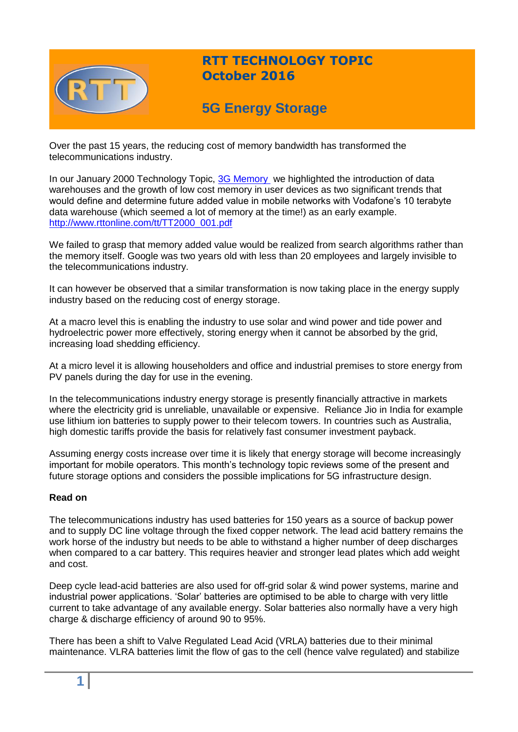

## **RTT TECHNOLOGY TOPIC October 2016**

# **5G Energy Storage**

Over the past 15 years, the reducing cost of memory bandwidth has transformed the telecommunications industry.

In our January 2000 Technology Topic, [3G Memory](http://www.rttonline.com/tt/TT2000_001.pdf) we highlighted the introduction of data warehouses and the growth of low cost memory in user devices as two significant trends that would define and determine future added value in mobile networks with Vodafone's 10 terabyte data warehouse (which seemed a lot of memory at the time!) as an early example. [http://www.rttonline.com/tt/TT2000\\_001.pdf](http://www.rttonline.com/tt/TT2000_001.pdf)

We failed to grasp that memory added value would be realized from search algorithms rather than the memory itself. Google was two years old with less than 20 employees and largely invisible to the telecommunications industry.

It can however be observed that a similar transformation is now taking place in the energy supply industry based on the reducing cost of energy storage.

At a macro level this is enabling the industry to use solar and wind power and tide power and hydroelectric power more effectively, storing energy when it cannot be absorbed by the grid, increasing load shedding efficiency.

At a micro level it is allowing householders and office and industrial premises to store energy from PV panels during the day for use in the evening.

In the telecommunications industry energy storage is presently financially attractive in markets where the electricity grid is unreliable, unavailable or expensive. Reliance Jio in India for example use lithium ion batteries to supply power to their telecom towers. In countries such as Australia, high domestic tariffs provide the basis for relatively fast consumer investment payback.

Assuming energy costs increase over time it is likely that energy storage will become increasingly important for mobile operators. This month's technology topic reviews some of the present and future storage options and considers the possible implications for 5G infrastructure design.

## **Read on**

The telecommunications industry has used batteries for 150 years as a source of backup power and to supply DC line voltage through the fixed copper network. The lead acid battery remains the work horse of the industry but needs to be able to withstand a higher number of deep discharges when compared to a car battery. This requires heavier and stronger lead plates which add weight and cost.

Deep cycle lead-acid batteries are also used for off-grid solar & wind power systems, marine and industrial power applications. 'Solar' batteries are optimised to be able to charge with very little current to take advantage of any available energy. Solar batteries also normally have a very high charge & discharge efficiency of around 90 to 95%.

There has been a shift to Valve Regulated Lead Acid (VRLA) batteries due to their minimal maintenance. VLRA batteries limit the flow of gas to the cell (hence valve regulated) and stabilize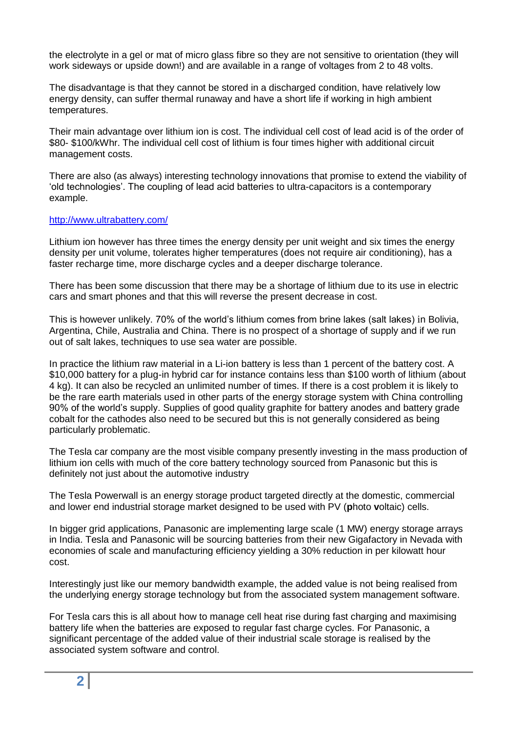the electrolyte in a gel or mat of micro glass fibre so they are not sensitive to orientation (they will work sideways or upside down!) and are available in a range of voltages from 2 to 48 volts.

The disadvantage is that they cannot be stored in a discharged condition, have relatively low energy density, can suffer thermal runaway and have a short life if working in high ambient temperatures.

Their main advantage over lithium ion is cost. The individual cell cost of lead acid is of the order of \$80- \$100/kWhr. The individual cell cost of lithium is four times higher with additional circuit management costs.

There are also (as always) interesting technology innovations that promise to extend the viability of 'old technologies'. The coupling of lead acid batteries to ultra-capacitors is a contemporary example.

#### <http://www.ultrabattery.com/>

Lithium ion however has three times the energy density per unit weight and six times the energy density per unit volume, tolerates higher temperatures (does not require air conditioning), has a faster recharge time, more discharge cycles and a deeper discharge tolerance.

There has been some discussion that there may be a shortage of lithium due to its use in electric cars and smart phones and that this will reverse the present decrease in cost.

This is however unlikely. 70% of the world's lithium comes from brine lakes (salt lakes) in Bolivia, Argentina, Chile, Australia and China. There is no prospect of a shortage of supply and if we run out of salt lakes, techniques to use sea water are possible.

In practice the lithium raw material in a Li-ion battery is less than 1 percent of the battery cost. A \$10,000 battery for a plug-in hybrid car for instance contains less than \$100 worth of lithium (about 4 kg). It can also be recycled an unlimited number of times. If there is a cost problem it is likely to be the rare earth materials used in other parts of the energy storage system with China controlling 90% of the world's supply. Supplies of good quality graphite for battery anodes and battery grade cobalt for the cathodes also need to be secured but this is not generally considered as being particularly problematic.

The Tesla car company are the most visible company presently investing in the mass production of lithium ion cells with much of the core battery technology sourced from Panasonic but this is definitely not just about the automotive industry

The Tesla Powerwall is an energy storage product targeted directly at the domestic, commercial and lower end industrial storage market designed to be used with PV (**p**hoto **v**oltaic) cells.

In bigger grid applications, Panasonic are implementing large scale (1 MW) energy storage arrays in India. Tesla and Panasonic will be sourcing batteries from their new Gigafactory in Nevada with economies of scale and manufacturing efficiency yielding a 30% reduction in per kilowatt hour cost.

Interestingly just like our memory bandwidth example, the added value is not being realised from the underlying energy storage technology but from the associated system management software.

For Tesla cars this is all about how to manage cell heat rise during fast charging and maximising battery life when the batteries are exposed to regular fast charge cycles. For Panasonic, a significant percentage of the added value of their industrial scale storage is realised by the associated system software and control.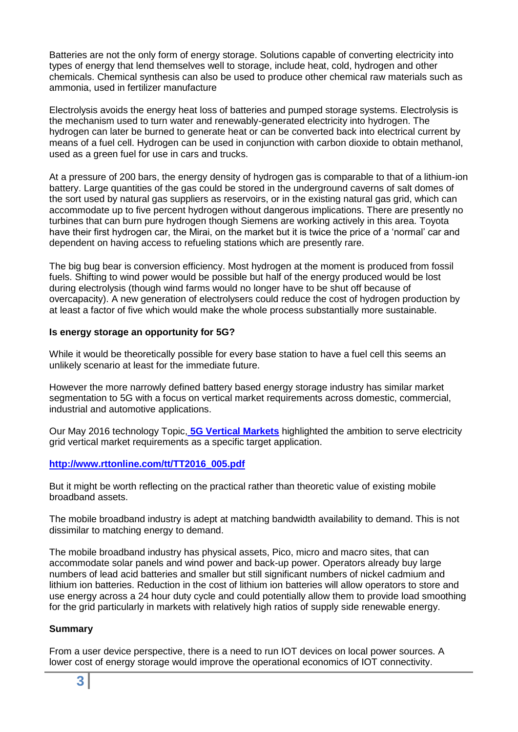Batteries are not the only form of energy storage. Solutions capable of converting electricity into types of energy that lend themselves well to storage, include heat, cold, hydrogen and other chemicals. Chemical synthesis can also be used to produce other chemical raw materials such as ammonia, used in fertilizer manufacture

Electrolysis avoids the energy heat loss of batteries and pumped storage systems. Electrolysis is the mechanism used to turn water and renewably-generated electricity into hydrogen. The hydrogen can later be burned to generate heat or can be converted back into electrical current by means of a fuel cell. Hydrogen can be used in conjunction with carbon dioxide to obtain methanol, used as a green fuel for use in cars and trucks.

At a pressure of 200 bars, the energy density of hydrogen gas is comparable to that of a lithium-ion battery. Large quantities of the gas could be stored in the underground caverns of salt domes of the sort used by natural gas suppliers as reservoirs, or in the existing natural gas grid, which can accommodate up to five percent hydrogen without dangerous implications. There are presently no turbines that can burn pure hydrogen though Siemens are working actively in this area. Toyota have their first hydrogen car, the Mirai, on the market but it is twice the price of a 'normal' car and dependent on having access to refueling stations which are presently rare.

The big bug bear is conversion efficiency. Most hydrogen at the moment is produced from fossil fuels. Shifting to wind power would be possible but half of the energy produced would be lost during electrolysis (though wind farms would no longer have to be shut off because of overcapacity). A new generation of electrolysers could reduce the cost of hydrogen production by at least a factor of five which would make the whole process substantially more sustainable.

### **Is energy storage an opportunity for 5G?**

While it would be theoretically possible for every base station to have a fuel cell this seems an unlikely scenario at least for the immediate future.

However the more narrowly defined battery based energy storage industry has similar market segmentation to 5G with a focus on vertical market requirements across domestic, commercial, industrial and automotive applications.

Our May 2016 technology Topic, **[5G Vertical Markets](http://www.rttonline.com/tt/TT2016_005.pdf)** highlighted the ambition to serve electricity grid vertical market requirements as a specific target application.

#### **[http://www.rttonline.com/tt/TT2016\\_005.pdf](http://www.rttonline.com/tt/TT2016_005.pdf)**

But it might be worth reflecting on the practical rather than theoretic value of existing mobile broadband assets.

The mobile broadband industry is adept at matching bandwidth availability to demand. This is not dissimilar to matching energy to demand.

The mobile broadband industry has physical assets, Pico, micro and macro sites, that can accommodate solar panels and wind power and back-up power. Operators already buy large numbers of lead acid batteries and smaller but still significant numbers of nickel cadmium and lithium ion batteries. Reduction in the cost of lithium ion batteries will allow operators to store and use energy across a 24 hour duty cycle and could potentially allow them to provide load smoothing for the grid particularly in markets with relatively high ratios of supply side renewable energy.

#### **Summary**

From a user device perspective, there is a need to run IOT devices on local power sources. A lower cost of energy storage would improve the operational economics of IOT connectivity.